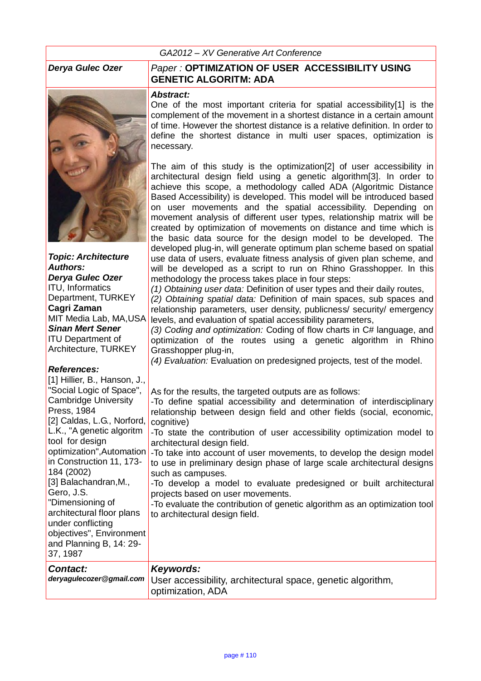#### *GA2012 – XV Generative Art Conference*



*Topic: Architecture Authors: Derya Gulec Ozer* ITU, Informatics Department, TURKEY **Cagri Zaman** MIT Media Lab, MA,USA *Sinan Mert Sener* ITU Department of Architecture, TURKEY

#### *References:*

#### *Derya Gulec Ozer Paper :* **OPTIMIZATION OF USER ACCESSIBILITY USING GENETIC ALGORITM: ADA**

#### *Abstract:*

One of the most important criteria for spatial accessibility[1] is the complement of the movement in a shortest distance in a certain amount of time. However the shortest distance is a relative definition. In order to define the shortest distance in multi user spaces, optimization is necessary.

The aim of this study is the optimization[2] of user accessibility in architectural design field using a genetic algorithm[3]. In order to achieve this scope, a methodology called ADA (Algoritmic Distance Based Accessibility) is developed. This model will be introduced based on user movements and the spatial accessibility. Depending on movement analysis of different user types, relationship matrix will be created by optimization of movements on distance and time which is the basic data source for the design model to be developed. The developed plug-in, will generate optimum plan scheme based on spatial use data of users, evaluate fitness analysis of given plan scheme, and will be developed as a script to run on Rhino Grasshopper. In this methodology the process takes place in four steps:

*(1) Obtaining user data:* Definition of user types and their daily routes,

*(2) Obtaining spatial data:* Definition of main spaces, sub spaces and relationship parameters, user density, publicness/ security/ emergency levels, and evaluation of spatial accessibility parameters,

*(3) Coding and optimization:* Coding of flow charts in C# language, and optimization of the routes using a genetic algorithm in Rhino Grasshopper plug-in,

*(4) Evaluation:* Evaluation on predesigned projects, test of the model.

| "Social Logic of Space",<br><b>Cambridge University</b><br>Press, 1984<br>[2] Caldas, L.G., Norford,<br>L.K., "A genetic algoritm<br>tool for design<br>optimization", Automation<br>in Construction 11, 173-<br>184 (2002)<br>[3] Balachandran, M.,<br>Gero, J.S.<br>"Dimensioning of<br>architectural floor plans<br>under conflicting<br>objectives", Environment<br>and Planning B, 14: 29-<br>37, 1987 | As for the results, the targeted outputs are as follows:<br>-To define spatial accessibility and determination of interdisciplinary<br>relationship between design field and other fields (social, economic,<br>cognitive)<br>-To state the contribution of user accessibility optimization model to<br>architectural design field.<br>-To take into account of user movements, to develop the design model<br>to use in preliminary design phase of large scale architectural designs<br>such as campuses.<br>-To develop a model to evaluate predesigned or built architectural<br>projects based on user movements.<br>-To evaluate the contribution of genetic algorithm as an optimization tool<br>to architectural design field. |
|-------------------------------------------------------------------------------------------------------------------------------------------------------------------------------------------------------------------------------------------------------------------------------------------------------------------------------------------------------------------------------------------------------------|----------------------------------------------------------------------------------------------------------------------------------------------------------------------------------------------------------------------------------------------------------------------------------------------------------------------------------------------------------------------------------------------------------------------------------------------------------------------------------------------------------------------------------------------------------------------------------------------------------------------------------------------------------------------------------------------------------------------------------------|
| <b>Contact:</b><br>deryagulecozer@gmail.com                                                                                                                                                                                                                                                                                                                                                                 | Keywords:<br>User accessibility, architectural space, genetic algorithm,<br>optimization, ADA                                                                                                                                                                                                                                                                                                                                                                                                                                                                                                                                                                                                                                          |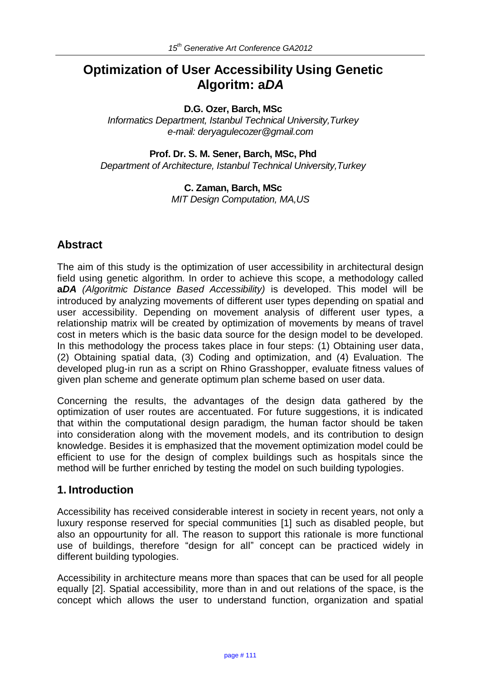# **Optimization of User Accessibility Using Genetic Algoritm: a***DA*

### **D.G. Ozer, Barch, MSc**

*Informatics Department, Istanbul Technical University,Turkey e-mail: deryagulecozer@gmail.com* 

#### **Prof. Dr. S. M. Sener, Barch, MSc, Phd**

*Department of Architecture, Istanbul Technical University,Turkey* 

#### **C. Zaman, Barch, MSc**

*MIT Design Computation, MA,US* 

## **Abstract**

The aim of this study is the optimization of user accessibility in architectural design field using genetic algorithm. In order to achieve this scope, a methodology called **a***DA (Algoritmic Distance Based Accessibility)* is developed. This model will be introduced by analyzing movements of different user types depending on spatial and user accessibility. Depending on movement analysis of different user types, a relationship matrix will be created by optimization of movements by means of travel cost in meters which is the basic data source for the design model to be developed. In this methodology the process takes place in four steps: (1) Obtaining user data, (2) Obtaining spatial data, (3) Coding and optimization, and (4) Evaluation. The developed plug-in run as a script on Rhino Grasshopper, evaluate fitness values of given plan scheme and generate optimum plan scheme based on user data.

Concerning the results, the advantages of the design data gathered by the optimization of user routes are accentuated. For future suggestions, it is indicated that within the computational design paradigm, the human factor should be taken into consideration along with the movement models, and its contribution to design knowledge. Besides it is emphasized that the movement optimization model could be efficient to use for the design of complex buildings such as hospitals since the method will be further enriched by testing the model on such building typologies.

## **1. Introduction**

Accessibility has received considerable interest in society in recent years, not only a luxury response reserved for special communities [1] such as disabled people, but also an oppourtunity for all. The reason to support this rationale is more functional use of buildings, therefore "design for all" concept can be practiced widely in different building typologies.

Accessibility in architecture means more than spaces that can be used for all people equally [2]. Spatial accessibility, more than in and out relations of the space, is the concept which allows the user to understand function, organization and spatial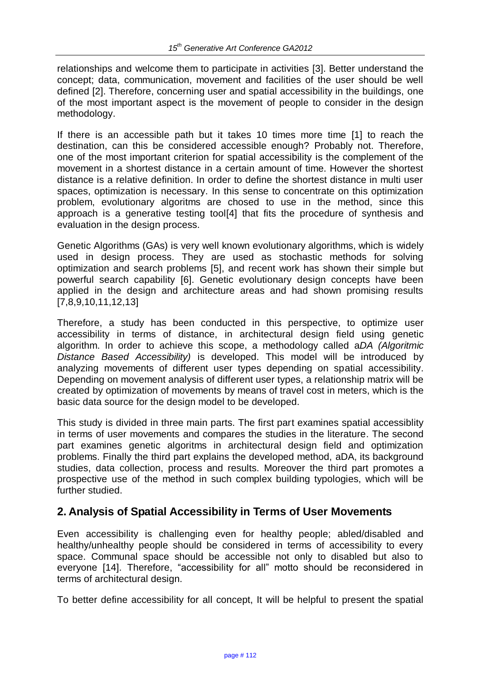relationships and welcome them to participate in activities [3]. Better understand the concept; data, communication, movement and facilities of the user should be well defined [2]. Therefore, concerning user and spatial accessibility in the buildings, one of the most important aspect is the movement of people to consider in the design methodology.

If there is an accessible path but it takes 10 times more time [1] to reach the destination, can this be considered accessible enough? Probably not. Therefore, one of the most important criterion for spatial accessibility is the complement of the movement in a shortest distance in a certain amount of time. However the shortest distance is a relative definition. In order to define the shortest distance in multi user spaces, optimization is necessary. In this sense to concentrate on this optimization problem, evolutionary algoritms are chosed to use in the method, since this approach is a generative testing tool[4] that fits the procedure of synthesis and evaluation in the design process.

Genetic Algorithms (GAs) is very well known evolutionary algorithms, which is widely used in design process. They are used as stochastic methods for solving optimization and search problems [5], and recent work has shown their simple but powerful search capability [6]. Genetic evolutionary design concepts have been applied in the design and architecture areas and had shown promising results [7,8,9,10,11,12,13]

Therefore, a study has been conducted in this perspective, to optimize user accessibility in terms of distance, in architectural design field using genetic algorithm. In order to achieve this scope, a methodology called a*DA (Algoritmic Distance Based Accessibility)* is developed. This model will be introduced by analyzing movements of different user types depending on spatial accessibility. Depending on movement analysis of different user types, a relationship matrix will be created by optimization of movements by means of travel cost in meters, which is the basic data source for the design model to be developed.

This study is divided in three main parts. The first part examines spatial accessiblity in terms of user movements and compares the studies in the literature. The second part examines genetic algoritms in architectural design field and optimization problems. Finally the third part explains the developed method, aDA, its background studies, data collection, process and results. Moreover the third part promotes a prospective use of the method in such complex building typologies, which will be further studied.

## **2. Analysis of Spatial Accessibility in Terms of User Movements**

Even accessibility is challenging even for healthy people; abled/disabled and healthy/unhealthy people should be considered in terms of accessibility to every space. Communal space should be accessible not only to disabled but also to everyone [14]. Therefore, "accessibility for all" motto should be reconsidered in terms of architectural design.

To better define accessibility for all concept, It will be helpful to present the spatial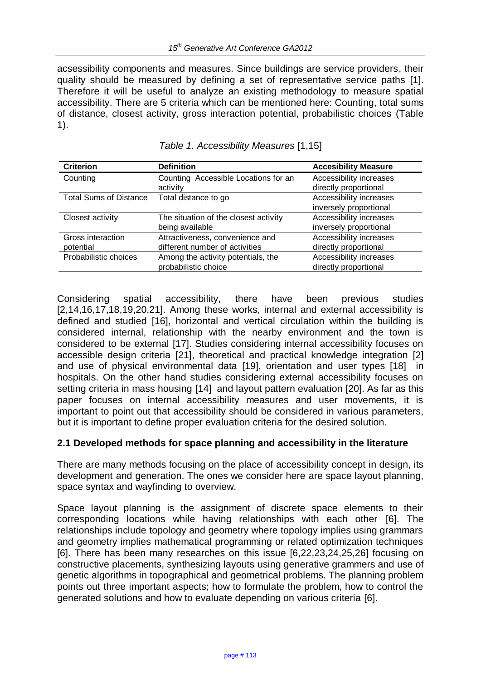acsessibility components and measures. Since buildings are service providers, their quality should be measured by defining a set of representative service paths [1]. Therefore it will be useful to analyze an existing methodology to measure spatial accessibility. There are 5 criteria which can be mentioned here: Counting, total sums of distance, closest activity, gross interaction potential, probabilistic choices (Table 1).

| <b>Criterion</b>              | <b>Definition</b>                     | <b>Accesibility Measure</b> |  |  |  |  |
|-------------------------------|---------------------------------------|-----------------------------|--|--|--|--|
| Counting                      | Counting Accessible Locations for an  | Accessibility increases     |  |  |  |  |
|                               | activity                              | directly proportional       |  |  |  |  |
| <b>Total Sums of Distance</b> | Total distance to go                  | Accessibility increases     |  |  |  |  |
|                               |                                       | inversely proportional      |  |  |  |  |
| Closest activity              | The situation of the closest activity | Accessibility increases     |  |  |  |  |
|                               | being available                       | inversely proportional      |  |  |  |  |
| Gross interaction             | Attractiveness, convenience and       | Accessibility increases     |  |  |  |  |
| potential                     | different number of activities        | directly proportional       |  |  |  |  |
| Probabilistic choices         | Among the activity potentials, the    | Accessibility increases     |  |  |  |  |
|                               | probabilistic choice                  | directly proportional       |  |  |  |  |

*Table 1. Accessibility Measures* [1,15]

Considering spatial accessibility, there have been previous studies [2,14,16,17,18,19,20,21]. Among these works, internal and external accessibility is defined and studied [16], horizontal and vertical circulation within the building is considered internal, relationship with the nearby environment and the town is considered to be external [17]. Studies considering internal accessibility focuses on accessible design criteria [21], theoretical and practical knowledge integration [2] and use of physical environmental data [19], orientation and user types [18] in hospitals. On the other hand studies considering external accessibility focuses on setting criteria in mass housing [14] and layout pattern evaluation [20]. As far as this paper focuses on internal accessibility measures and user movements, it is important to point out that accessibility should be considered in various parameters, but it is important to define proper evaluation criteria for the desired solution.

#### **2.1 Developed methods for space planning and accessibility in the literature**

There are many methods focusing on the place of accessibility concept in design, its development and generation. The ones we consider here are space layout planning, space syntax and wayfinding to overview.

Space layout planning is the assignment of discrete space elements to their corresponding locations while having relationships with each other [6]. The relationships include topology and geometry where topology implies using grammars and geometry implies mathematical programming or related optimization techniques [6]. There has been many researches on this issue [6,22,23,24,25,26] focusing on constructive placements, synthesizing layouts using generative grammers and use of genetic algorithms in topographical and geometrical problems. The planning problem points out three important aspects; how to formulate the problem, how to control the generated solutions and how to evaluate depending on various criteria [6].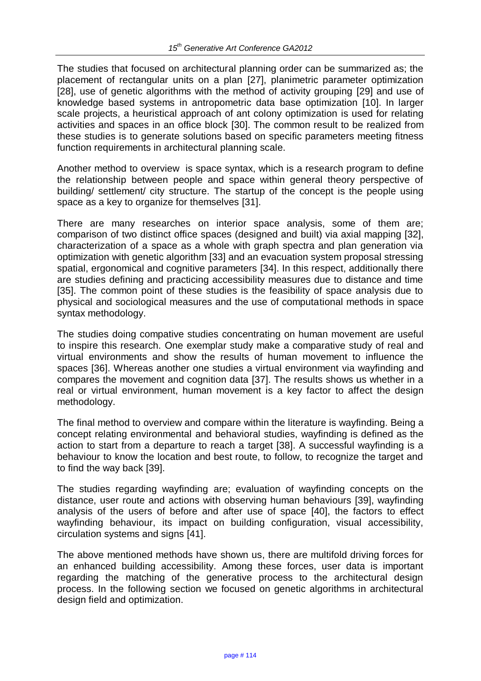The studies that focused on architectural planning order can be summarized as; the placement of rectangular units on a plan [27], planimetric parameter optimization [28], use of genetic algorithms with the method of activity grouping [29] and use of knowledge based systems in antropometric data base optimization [10]. In larger scale projects, a heuristical approach of ant colony optimization is used for relating activities and spaces in an office block [30]. The common result to be realized from these studies is to generate solutions based on specific parameters meeting fitness function requirements in architectural planning scale.

Another method to overview is space syntax, which is a research program to define the relationship between people and space within general theory perspective of building/ settlement/ city structure. The startup of the concept is the people using space as a key to organize for themselves [31].

There are many researches on interior space analysis, some of them are; comparison of two distinct office spaces (designed and built) via axial mapping [32], characterization of a space as a whole with graph spectra and plan generation via optimization with genetic algorithm [33] and an evacuation system proposal stressing spatial, ergonomical and cognitive parameters [34]. In this respect, additionally there are studies defining and practicing accessibility measures due to distance and time [35]. The common point of these studies is the feasibility of space analysis due to physical and sociological measures and the use of computational methods in space syntax methodology.

The studies doing compative studies concentrating on human movement are useful to inspire this research. One exemplar study make a comparative study of real and virtual environments and show the results of human movement to influence the spaces [36]. Whereas another one studies a virtual environment via wayfinding and compares the movement and cognition data [37]. The results shows us whether in a real or virtual environment, human movement is a key factor to affect the design methodology.

The final method to overview and compare within the literature is wayfinding. Being a concept relating environmental and behavioral studies, wayfinding is defined as the action to start from a departure to reach a target [38]. A successful wayfinding is a behaviour to know the location and best route, to follow, to recognize the target and to find the way back [39].

The studies regarding wayfinding are; evaluation of wayfinding concepts on the distance, user route and actions with observing human behaviours [39], wayfinding analysis of the users of before and after use of space [40], the factors to effect wayfinding behaviour, its impact on building configuration, visual accessibility, circulation systems and signs [41].

The above mentioned methods have shown us, there are multifold driving forces for an enhanced building accessibility. Among these forces, user data is important regarding the matching of the generative process to the architectural design process. In the following section we focused on genetic algorithms in architectural design field and optimization.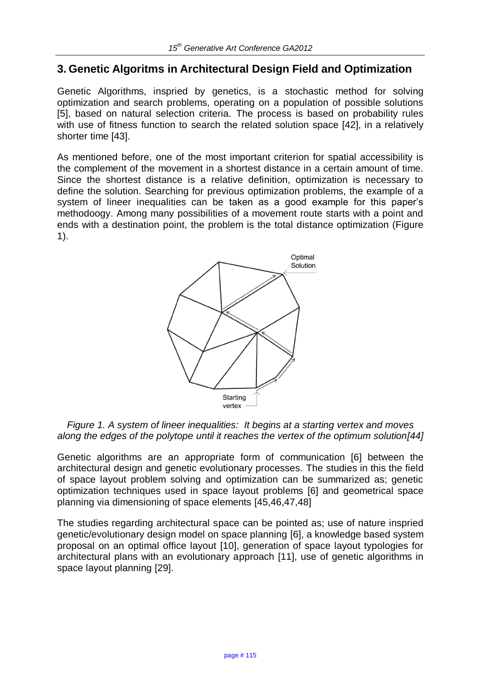## **3. Genetic Algoritms in Architectural Design Field and Optimization**

Genetic Algorithms, inspried by genetics, is a stochastic method for solving optimization and search problems, operating on a population of possible solutions [5], based on natural selection criteria. The process is based on probability rules with use of fitness function to search the related solution space [42], in a relatively shorter time [43].

As mentioned before, one of the most important criterion for spatial accessibility is the complement of the movement in a shortest distance in a certain amount of time. Since the shortest distance is a relative definition, optimization is necessary to define the solution. Searching for previous optimization problems, the example of a system of lineer inequalities can be taken as a good example for this paper's methodoogy. Among many possibilities of a movement route starts with a point and ends with a destination point, the problem is the total distance optimization (Figure 1).



*Figure 1. A system of lineer inequalities: It begins at a starting [vertex](http://en.wikipedia.org/wiki/Vertex_(geometry)) and moves along the edges of the polytope until it reaches the vertex of the optimum solution[44]* 

Genetic algorithms are an appropriate form of communication [6] between the architectural design and genetic evolutionary processes. The studies in this the field of space layout problem solving and optimization can be summarized as; genetic optimization techniques used in space layout problems [6] and geometrical space planning via dimensioning of space elements [45,46,47,48]

The studies regarding architectural space can be pointed as; use of nature inspried genetic/evolutionary design model on space planning [6], a knowledge based system proposal on an optimal office layout [10], generation of space layout typologies for architectural plans with an evolutionary approach [11], use of genetic algorithms in space layout planning [29].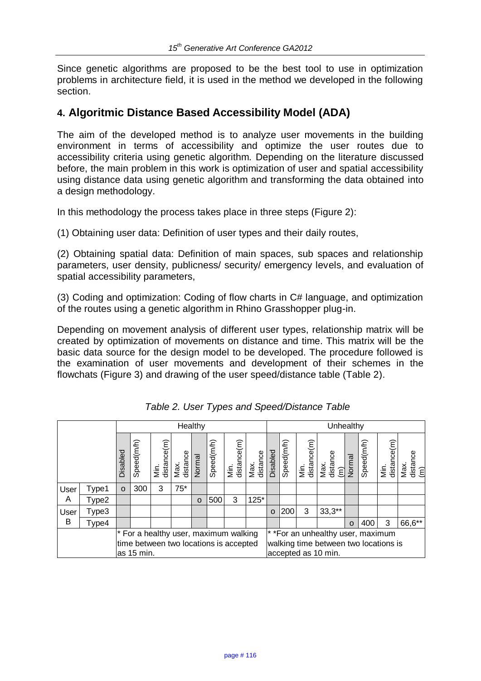Since genetic algorithms are proposed to be the best tool to use in optimization problems in architecture field, it is used in the method we developed in the following section.

## **4. Algoritmic Distance Based Accessibility Model (ADA)**

The aim of the developed method is to analyze user movements in the building environment in terms of accessibility and optimize the user routes due to accessibility criteria using genetic algorithm. Depending on the literature discussed before, the main problem in this work is optimization of user and spatial accessibility using distance data using genetic algorithm and transforming the data obtained into a design methodology.

In this methodology the process takes place in three steps (Figure 2):

(1) Obtaining user data: Definition of user types and their daily routes,

(2) Obtaining spatial data: Definition of main spaces, sub spaces and relationship parameters, user density, publicness/ security/ emergency levels, and evaluation of spatial accessibility parameters,

(3) Coding and optimization: Coding of flow charts in C# language, and optimization of the routes using a genetic algorithm in Rhino Grasshopper plug-in.

Depending on movement analysis of different user types, relationship matrix will be created by optimization of movements on distance and time. This matrix will be the basic data source for the design model to be developed. The procedure followed is the examination of user movements and development of their schemes in the flowchats (Figure 3) and drawing of the user speed/distance table (Table 2).

|                                        |            |          | Healthy    |                     |                  |                                       |                                   |                     | Unhealthy        |          |            |                     |          |                 |          |            |                     |                         |
|----------------------------------------|------------|----------|------------|---------------------|------------------|---------------------------------------|-----------------------------------|---------------------|------------------|----------|------------|---------------------|----------|-----------------|----------|------------|---------------------|-------------------------|
|                                        |            | Disabled | Speed(m/h) | Min.<br>distance(m) | Max.<br>distance | Normal                                | Speed(m/h)                        | Min.<br>distance(m) | distance<br>Max. | Disabled | Speed(m/h) | distance(m)<br>Min. | Max.     | distance<br>(m) | Normal   | Speed(m/h) | distance(m)<br>Min. | distance<br>(m)<br>Max. |
| User                                   | Type1      | $\Omega$ | 300        | 3                   | $75*$            |                                       |                                   |                     |                  |          |            |                     |          |                 |          |            |                     |                         |
| A                                      | Type2      |          |            |                     |                  | $\Omega$                              | 500                               | 3                   | $125*$           |          |            |                     |          |                 |          |            |                     |                         |
| User                                   | Type3      |          |            |                     |                  |                                       |                                   |                     |                  | $\Omega$ | 200        | 3                   | $33,3**$ |                 |          |            |                     |                         |
| В                                      | Type4      |          |            |                     |                  |                                       |                                   |                     |                  |          |            |                     |          |                 | $\Omega$ | 400        | 3                   | 66,6**                  |
| * For a healthy user, maximum walking  |            |          |            |                     |                  |                                       | ** For an unhealthy user, maximum |                     |                  |          |            |                     |          |                 |          |            |                     |                         |
| time between two locations is accepted |            |          |            |                     |                  | walking time between two locations is |                                   |                     |                  |          |            |                     |          |                 |          |            |                     |                         |
|                                        | as 15 min. |          |            |                     |                  | accepted as 10 min.                   |                                   |                     |                  |          |            |                     |          |                 |          |            |                     |                         |

*Table 2. User Types and Speed/Distance Table*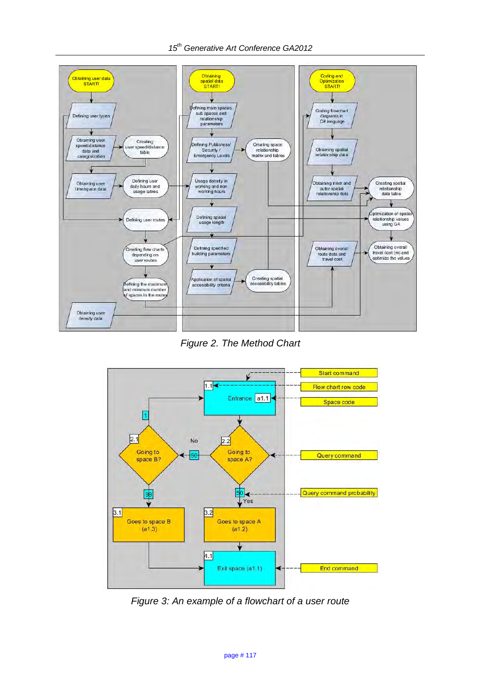

*Figure 2. The Method Chart* 



*Figure 3: An example of a flowchart of a user route*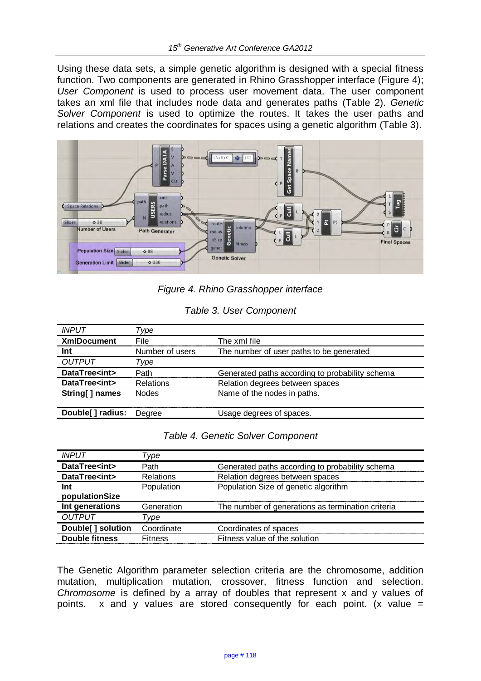Using these data sets, a simple genetic algorithm is designed with a special fitness function. Two components are generated in Rhino Grasshopper interface (Figure 4); *User Component* is used to process user movement data. The user component takes an xml file that includes node data and generates paths (Table 2). *Genetic Solver Component* is used to optimize the routes. It takes the user paths and relations and creates the coordinates for spaces using a genetic algorithm (Table 3).



*Figure 4. Rhino Grasshopper interface* 

| <b>INPUT</b>         | Type             |                                                 |
|----------------------|------------------|-------------------------------------------------|
| <b>XmlDocument</b>   | File             | The xml file                                    |
| Int                  | Number of users  | The number of user paths to be generated        |
| <b>OUTPUT</b>        | Type             |                                                 |
| DataTree <int></int> | Path             | Generated paths according to probability schema |
| DataTree <int></int> | <b>Relations</b> | Relation degrees between spaces                 |
| String[] names       | <b>Nodes</b>     | Name of the nodes in paths.                     |
|                      |                  |                                                 |
| Double[] radius:     | Dearee           | Usage degrees of spaces.                        |

#### *Table 3. User Component*

#### *Table 4. Genetic Solver Component*

| <i><b>INPUT</b></i>   | 'ype             |                                                   |
|-----------------------|------------------|---------------------------------------------------|
| DataTree <int></int>  | Path             | Generated paths according to probability schema   |
| DataTree <int></int>  | <b>Relations</b> | Relation degrees between spaces                   |
| Int                   | Population       | Population Size of genetic algorithm              |
| populationSize        |                  |                                                   |
| Int generations       | Generation       | The number of generations as termination criteria |
| <b>OUTPUT</b>         | Type             |                                                   |
| Double[] solution     | Coordinate       | Coordinates of spaces                             |
| <b>Double fitness</b> | <b>Fitness</b>   | Fitness value of the solution                     |

The Genetic Algorithm parameter selection criteria are the chromosome, addition mutation, multiplication mutation, crossover, fitness function and selection. *Chromosome* is defined by a array of doubles that represent x and y values of points.  $x$  and y values are stored consequently for each point. (x value =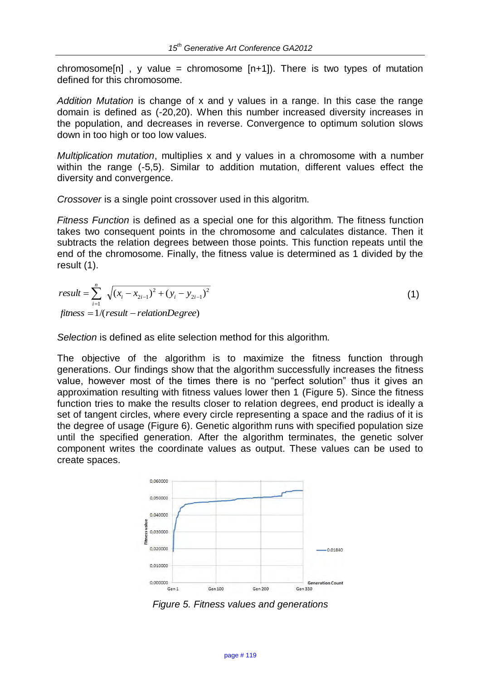chromosome[n], y value = chromosome  $[n+1]$ . There is two types of mutation defined for this chromosome.

*Addition Mutation* is change of x and y values in a range. In this case the range domain is defined as (-20,20). When this number increased diversity increases in the population, and decreases in reverse. Convergence to optimum solution slows down in too high or too low values.

*Multiplication mutation*, multiplies x and y values in a chromosome with a number within the range (-5,5). Similar to addition mutation, different values effect the diversity and convergence.

*Crossover* is a single point crossover used in this algoritm.

*Fitness Function* is defined as a special one for this algorithm. The fitness function takes two consequent points in the chromosome and calculates distance. Then it subtracts the relation degrees between those points. This function repeats until the end of the chromosome. Finally, the fitness value is determined as 1 divided by the result (1).

2  $2i - 1$ 2  $2i-1$ 1  $(x_i - x_{2i-1})^2 + (y_i - y_{2i-1})$  $=\sum_{i=1}^n \sqrt{(x_i - x_{2i-1})^2 + (y_i - y_{2i})^2}$ *i result* =  $\sum_{i} \sqrt{(x_i - x_{2i-1})^2 + (y_i - y_{2i})^2}$ (1)  $fitness = 1/(result - relationDegree)$ 

*Selection* is defined as elite selection method for this algorithm.

The objective of the algorithm is to maximize the fitness function through generations. Our findings show that the algorithm successfully increases the fitness value, however most of the times there is no "perfect solution" thus it gives an approximation resulting with fitness values lower then 1 (Figure 5). Since the fitness function tries to make the results closer to relation degrees, end product is ideally a set of tangent circles, where every circle representing a space and the radius of it is the degree of usage (Figure 6). Genetic algorithm runs with specified population size until the specified generation. After the algorithm terminates, the genetic solver component writes the coordinate values as output. These values can be used to create spaces.



*Figure 5. Fitness values and generations*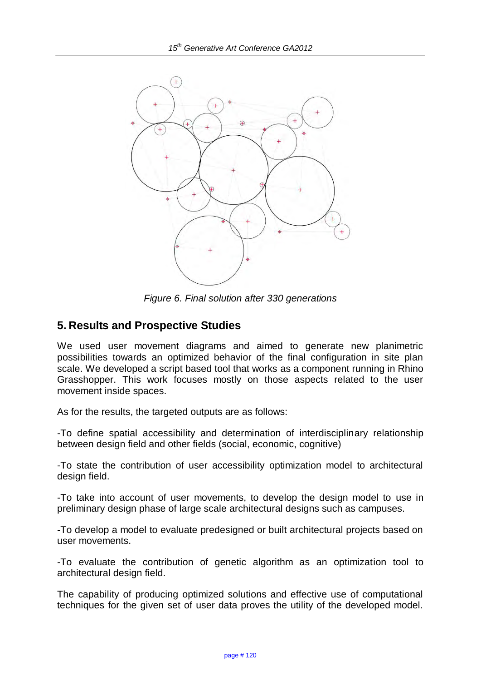

*Figure 6. Final solution after 330 generations* 

## **5. Results and Prospective Studies**

We used user movement diagrams and aimed to generate new planimetric possibilities towards an optimized behavior of the final configuration in site plan scale. We developed a script based tool that works as a component running in Rhino Grasshopper. This work focuses mostly on those aspects related to the user movement inside spaces.

As for the results, the targeted outputs are as follows:

-To define spatial accessibility and determination of interdisciplinary relationship between design field and other fields (social, economic, cognitive)

-To state the contribution of user accessibility optimization model to architectural design field.

-To take into account of user movements, to develop the design model to use in preliminary design phase of large scale architectural designs such as campuses.

-To develop a model to evaluate predesigned or built architectural projects based on user movements.

-To evaluate the contribution of genetic algorithm as an optimization tool to architectural design field.

The capability of producing optimized solutions and effective use of computational techniques for the given set of user data proves the utility of the developed model.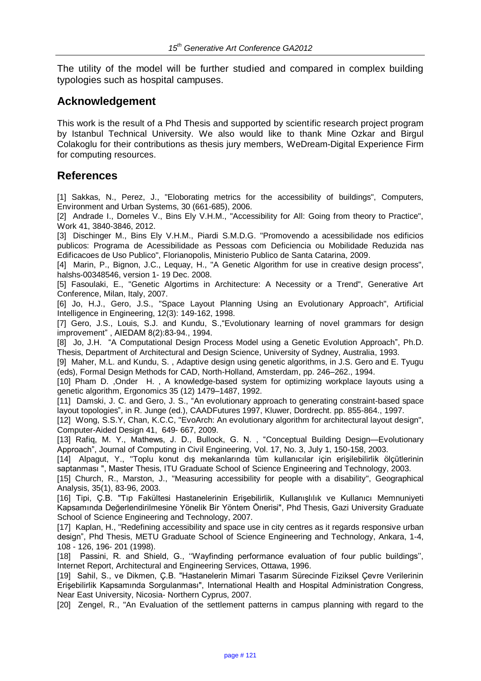The utility of the model will be further studied and compared in complex building typologies such as hospital campuses.

## **Acknowledgement**

This work is the result of a Phd Thesis and supported by scientific research project program by Istanbul Technical University. We also would like to thank Mine Ozkar and Birgul Colakoglu for their contributions as thesis jury members, WeDream-Digital Experience Firm for computing resources.

## **References**

[1] Sakkas, N., Perez, J., "Eloborating metrics for the accessibility of buildings", Computers, Environment and Urban Systems, 30 (661-685), 2006.

[2] Andrade I., Dorneles V., Bins Ely V.H.M., "Accessibility for All: Going from theory to Practice", Work 41, 3840-3846, 2012.

[3] Dischinger M., Bins Ely V.H.M., Piardi S.M.D.G. "Promovendo a acessibilidade nos edificios publicos: Programa de Acessibilidade as Pessoas com Deficiencia ou Mobilidade Reduzida nas Edificacoes de Uso Publico", Florianopolis, Ministerio Publico de Santa Catarina, 2009.

[4] Marin, P., Bignon, J.C., Lequay, H., "A Genetic Algorithm for use in creative design process", halshs-00348546, version 1- 19 Dec. 2008.

[5] Fasoulaki, E., "Genetic Algortims in Architecture: A Necessity or a Trend", Generative Art Conference, Milan, Italy, 2007.

[6] Jo, H.J., Gero, J.S., "Space Layout Planning Using an Evolutionary Approach", Artificial Intelligence in Engineering, 12(3): 149-162, 1998.

[7] Gero, J.S., Louis, S.J. and Kundu, S., "Evolutionary learning of novel grammars for design improvement" , AIEDAM 8(2):83-94., 1994.

[8] Jo, J.H. "A Computational Design Process Model using a Genetic Evolution Approach", Ph.D. Thesis, Department of Architectural and Design Science, University of Sydney, Australia, 1993.

[9] Maher, M.L. and Kundu, S., Adaptive design using genetic algorithms, in J.S. Gero and E. Tyugu (eds), Formal Design Methods for CAD, North-Holland, Amsterdam, pp. 246–262., 1994.

[10] Pham D. ,Onder H. , A knowledge-based system for optimizing workplace layouts using a genetic algorithm, Ergonomics 35 (12) 1479–1487, 1992.

[11] Damski, J. C. and Gero, J. S., "An evolutionary approach to generating constraint-based space layout topologies", in R. Junge (ed.), CAADFutures 1997, Kluwer, Dordrecht. pp. 855-864., 1997.

[12] Wong, S.S.Y, Chan, K.C.C, "EvoArch: An evolutionary algorithm for architectural layout design", Computer-Aided Design 41, 649- 667, 2009.

[13] Rafiq, M. Y., Mathews, J. D., Bullock, G. N., "Conceptual Building Design-Evolutionary Approach", Journal of Computing in Civil Engineering, Vol. 17, No. 3, July 1, 150-158, 2003.

[14] Alpagut, Y., "Toplu konut dış mekanlarında tüm kullanıcılar için erişilebilirlik ölçütlerinin saptanması ", Master Thesis, ITU Graduate School of Science Engineering and Technology, 2003.

[15] Church, R., Marston, J., "Measuring accessibility for people with a disability", Geographical Analysis, 35(1), 83-96, 2003.

[16] Tipi, Ç.B. "Tıp Fakültesi Hastanelerinin Erişebilirlik, Kullanışlılık ve Kullanıcı Memnuniyeti Kapsamında Değerlendirilmesine Yönelik Bir Yöntem Önerisi", Phd Thesis, Gazi University Graduate School of Science Engineering and Technology, 2007.

[17] Kaplan, H., "Redefining accessibility and space use in city centres as it regards responsive urban design", Phd Thesis, METU Graduate School of Science Engineering and Technology, Ankara, 1-4, 108 - 126, 196- 201 (1998).

[18] Passini, R. and Shield, G., "Wayfinding performance evaluation of four public buildings", Internet Report, Architectural and Engineering Services, Ottawa, 1996.

[19] Sahil, S., ve Dikmen, Ç.B. "Hastanelerin Mimari Tasarım Sürecinde Fiziksel Çevre Verilerinin Erişebilirlik Kapsamında Sorgulanması", International Health and Hospital Administration Congress, Near East University, Nicosia- Northern Cyprus, 2007.

[20] Zengel, R., "An Evaluation of the settlement patterns in campus planning with regard to the